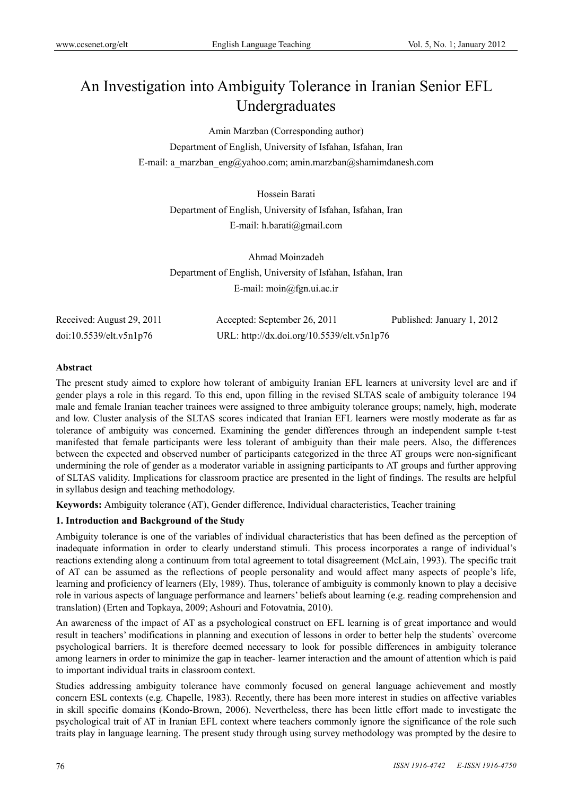# An Investigation into Ambiguity Tolerance in Iranian Senior EFL Undergraduates

Amin Marzban (Corresponding author)

Department of English, University of Isfahan, Isfahan, Iran E-mail: a\_marzban\_eng@yahoo.com; amin.marzban@shamimdanesh.com

> Hossein Barati Department of English, University of Isfahan, Isfahan, Iran E-mail: h.barati@gmail.com

> Ahmad Moinzadeh Department of English, University of Isfahan, Isfahan, Iran E-mail: moin@fgn.ui.ac.ir

| Received: August 29, 2011 | Accepted: September 26, 2011               | Published: January 1, 2012 |
|---------------------------|--------------------------------------------|----------------------------|
| doi:10.5539/elt.v5n1p76   | URL: http://dx.doi.org/10.5539/elt.v5n1p76 |                            |

### **Abstract**

The present study aimed to explore how tolerant of ambiguity Iranian EFL learners at university level are and if gender plays a role in this regard. To this end, upon filling in the revised SLTAS scale of ambiguity tolerance 194 male and female Iranian teacher trainees were assigned to three ambiguity tolerance groups; namely, high, moderate and low. Cluster analysis of the SLTAS scores indicated that Iranian EFL learners were mostly moderate as far as tolerance of ambiguity was concerned. Examining the gender differences through an independent sample t-test manifested that female participants were less tolerant of ambiguity than their male peers. Also, the differences between the expected and observed number of participants categorized in the three AT groups were non-significant undermining the role of gender as a moderator variable in assigning participants to AT groups and further approving of SLTAS validity. Implications for classroom practice are presented in the light of findings. The results are helpful in syllabus design and teaching methodology.

**Keywords:** Ambiguity tolerance (AT), Gender difference, Individual characteristics, Teacher training

### **1. Introduction and Background of the Study**

Ambiguity tolerance is one of the variables of individual characteristics that has been defined as the perception of inadequate information in order to clearly understand stimuli. This process incorporates a range of individual's reactions extending along a continuum from total agreement to total disagreement (McLain, 1993). The specific trait of AT can be assumed as the reflections of people personality and would affect many aspects of people's life, learning and proficiency of learners (Ely, 1989). Thus, tolerance of ambiguity is commonly known to play a decisive role in various aspects of language performance and learners' beliefs about learning (e.g. reading comprehension and translation) (Erten and Topkaya, 2009; Ashouri and Fotovatnia, 2010).

An awareness of the impact of AT as a psychological construct on EFL learning is of great importance and would result in teachers' modifications in planning and execution of lessons in order to better help the students` overcome psychological barriers. It is therefore deemed necessary to look for possible differences in ambiguity tolerance among learners in order to minimize the gap in teacher- learner interaction and the amount of attention which is paid to important individual traits in classroom context.

Studies addressing ambiguity tolerance have commonly focused on general language achievement and mostly concern ESL contexts (e.g. Chapelle, 1983). Recently, there has been more interest in studies on affective variables in skill specific domains (Kondo-Brown, 2006). Nevertheless, there has been little effort made to investigate the psychological trait of AT in Iranian EFL context where teachers commonly ignore the significance of the role such traits play in language learning. The present study through using survey methodology was prompted by the desire to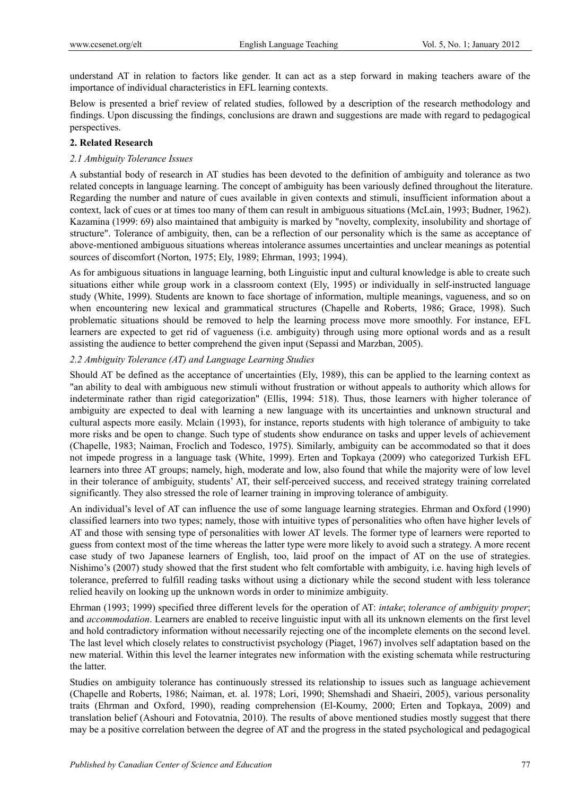understand AT in relation to factors like gender. It can act as a step forward in making teachers aware of the importance of individual characteristics in EFL learning contexts.

Below is presented a brief review of related studies, followed by a description of the research methodology and findings. Upon discussing the findings, conclusions are drawn and suggestions are made with regard to pedagogical perspectives.

# **2. Related Research**

# *2.1 Ambiguity Tolerance Issues*

A substantial body of research in AT studies has been devoted to the definition of ambiguity and tolerance as two related concepts in language learning. The concept of ambiguity has been variously defined throughout the literature. Regarding the number and nature of cues available in given contexts and stimuli, insufficient information about a context, lack of cues or at times too many of them can result in ambiguous situations (McLain, 1993; Budner, 1962). Kazamina (1999: 69) also maintained that ambiguity is marked by "novelty, complexity, insolubility and shortage of structure". Tolerance of ambiguity, then, can be a reflection of our personality which is the same as acceptance of above-mentioned ambiguous situations whereas intolerance assumes uncertainties and unclear meanings as potential sources of discomfort (Norton, 1975; Ely, 1989; Ehrman, 1993; 1994).

As for ambiguous situations in language learning, both Linguistic input and cultural knowledge is able to create such situations either while group work in a classroom context (Ely, 1995) or individually in self-instructed language study (White, 1999). Students are known to face shortage of information, multiple meanings, vagueness, and so on when encountering new lexical and grammatical structures (Chapelle and Roberts, 1986; Grace, 1998). Such problematic situations should be removed to help the learning process move more smoothly. For instance, EFL learners are expected to get rid of vagueness (i.e. ambiguity) through using more optional words and as a result assisting the audience to better comprehend the given input (Sepassi and Marzban, 2005).

# *2.2 Ambiguity Tolerance (AT) and Language Learning Studies*

Should AT be defined as the acceptance of uncertainties (Ely, 1989), this can be applied to the learning context as "an ability to deal with ambiguous new stimuli without frustration or without appeals to authority which allows for indeterminate rather than rigid categorization" (Ellis, 1994: 518). Thus, those learners with higher tolerance of ambiguity are expected to deal with learning a new language with its uncertainties and unknown structural and cultural aspects more easily. Mclain (1993), for instance, reports students with high tolerance of ambiguity to take more risks and be open to change. Such type of students show endurance on tasks and upper levels of achievement (Chapelle, 1983; Naiman, Froclich and Todesco, 1975). Similarly, ambiguity can be accommodated so that it does not impede progress in a language task (White, 1999). Erten and Topkaya (2009) who categorized Turkish EFL learners into three AT groups; namely, high, moderate and low, also found that while the majority were of low level in their tolerance of ambiguity, students' AT, their self-perceived success, and received strategy training correlated significantly. They also stressed the role of learner training in improving tolerance of ambiguity.

An individual's level of AT can influence the use of some language learning strategies. Ehrman and Oxford (1990) classified learners into two types; namely, those with intuitive types of personalities who often have higher levels of AT and those with sensing type of personalities with lower AT levels. The former type of learners were reported to guess from context most of the time whereas the latter type were more likely to avoid such a strategy. A more recent case study of two Japanese learners of English, too, laid proof on the impact of AT on the use of strategies. Nishimo's (2007) study showed that the first student who felt comfortable with ambiguity, i.e. having high levels of tolerance, preferred to fulfill reading tasks without using a dictionary while the second student with less tolerance relied heavily on looking up the unknown words in order to minimize ambiguity.

Ehrman (1993; 1999) specified three different levels for the operation of AT: *intake*; *tolerance of ambiguity proper*; and *accommodation*. Learners are enabled to receive linguistic input with all its unknown elements on the first level and hold contradictory information without necessarily rejecting one of the incomplete elements on the second level. The last level which closely relates to constructivist psychology (Piaget, 1967) involves self adaptation based on the new material. Within this level the learner integrates new information with the existing schemata while restructuring the latter.

Studies on ambiguity tolerance has continuously stressed its relationship to issues such as language achievement (Chapelle and Roberts, 1986; Naiman, et. al. 1978; Lori, 1990; Shemshadi and Shaeiri, 2005), various personality traits (Ehrman and Oxford, 1990), reading comprehension (El-Koumy, 2000; Erten and Topkaya, 2009) and translation belief (Ashouri and Fotovatnia, 2010). The results of above mentioned studies mostly suggest that there may be a positive correlation between the degree of AT and the progress in the stated psychological and pedagogical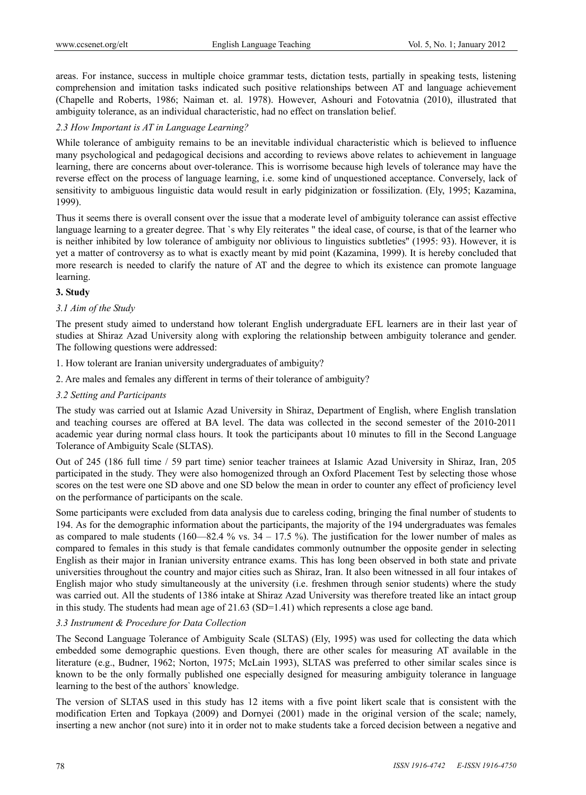areas. For instance, success in multiple choice grammar tests, dictation tests, partially in speaking tests, listening comprehension and imitation tasks indicated such positive relationships between AT and language achievement (Chapelle and Roberts, 1986; Naiman et. al. 1978). However, Ashouri and Fotovatnia (2010), illustrated that ambiguity tolerance, as an individual characteristic, had no effect on translation belief.

#### *2.3 How Important is AT in Language Learning?*

While tolerance of ambiguity remains to be an inevitable individual characteristic which is believed to influence many psychological and pedagogical decisions and according to reviews above relates to achievement in language learning, there are concerns about over-tolerance. This is worrisome because high levels of tolerance may have the reverse effect on the process of language learning, i.e. some kind of unquestioned acceptance. Conversely, lack of sensitivity to ambiguous linguistic data would result in early pidginization or fossilization. (Ely, 1995; Kazamina, 1999).

Thus it seems there is overall consent over the issue that a moderate level of ambiguity tolerance can assist effective language learning to a greater degree. That `s why Ely reiterates " the ideal case, of course, is that of the learner who is neither inhibited by low tolerance of ambiguity nor oblivious to linguistics subtleties" (1995: 93). However, it is yet a matter of controversy as to what is exactly meant by mid point (Kazamina, 1999). It is hereby concluded that more research is needed to clarify the nature of AT and the degree to which its existence can promote language learning.

#### **3. Study**

### *3.1 Aim of the Study*

The present study aimed to understand how tolerant English undergraduate EFL learners are in their last year of studies at Shiraz Azad University along with exploring the relationship between ambiguity tolerance and gender. The following questions were addressed:

- 1. How tolerant are Iranian university undergraduates of ambiguity?
- 2. Are males and females any different in terms of their tolerance of ambiguity?
- *3.2 Setting and Participants*

The study was carried out at Islamic Azad University in Shiraz, Department of English, where English translation and teaching courses are offered at BA level. The data was collected in the second semester of the 2010-2011 academic year during normal class hours. It took the participants about 10 minutes to fill in the Second Language Tolerance of Ambiguity Scale (SLTAS).

Out of 245 (186 full time / 59 part time) senior teacher trainees at Islamic Azad University in Shiraz, Iran, 205 participated in the study. They were also homogenized through an Oxford Placement Test by selecting those whose scores on the test were one SD above and one SD below the mean in order to counter any effect of proficiency level on the performance of participants on the scale.

Some participants were excluded from data analysis due to careless coding, bringing the final number of students to 194. As for the demographic information about the participants, the majority of the 194 undergraduates was females as compared to male students (160—82.4 % vs.  $34 - 17.5$  %). The justification for the lower number of males as compared to females in this study is that female candidates commonly outnumber the opposite gender in selecting English as their major in Iranian university entrance exams. This has long been observed in both state and private universities throughout the country and major cities such as Shiraz, Iran. It also been witnessed in all four intakes of English major who study simultaneously at the university (i.e. freshmen through senior students) where the study was carried out. All the students of 1386 intake at Shiraz Azad University was therefore treated like an intact group in this study. The students had mean age of 21.63 (SD=1.41) which represents a close age band.

#### *3.3 Instrument & Procedure for Data Collection*

The Second Language Tolerance of Ambiguity Scale (SLTAS) (Ely, 1995) was used for collecting the data which embedded some demographic questions. Even though, there are other scales for measuring AT available in the literature (e.g., Budner, 1962; Norton, 1975; McLain 1993), SLTAS was preferred to other similar scales since is known to be the only formally published one especially designed for measuring ambiguity tolerance in language learning to the best of the authors` knowledge.

The version of SLTAS used in this study has 12 items with a five point likert scale that is consistent with the modification Erten and Topkaya (2009) and Dornyei (2001) made in the original version of the scale; namely, inserting a new anchor (not sure) into it in order not to make students take a forced decision between a negative and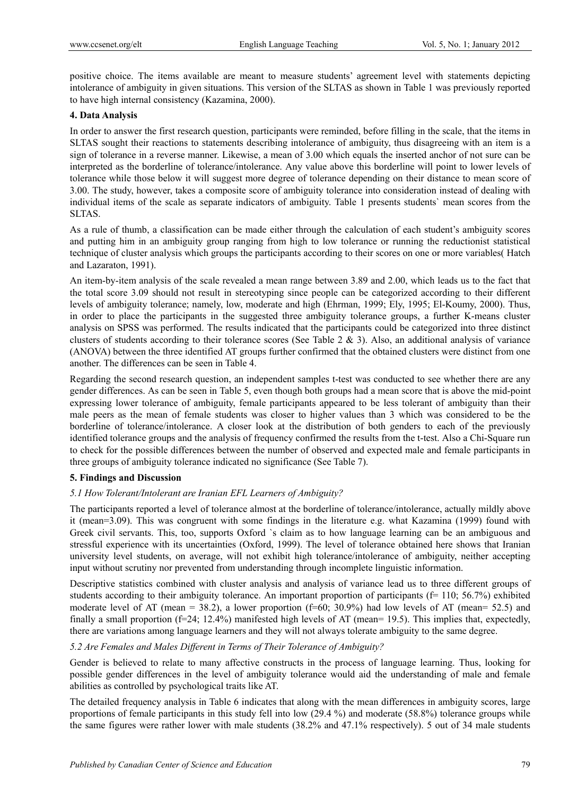positive choice. The items available are meant to measure students' agreement level with statements depicting intolerance of ambiguity in given situations. This version of the SLTAS as shown in Table 1 was previously reported to have high internal consistency (Kazamina, 2000).

# **4. Data Analysis**

In order to answer the first research question, participants were reminded, before filling in the scale, that the items in SLTAS sought their reactions to statements describing intolerance of ambiguity, thus disagreeing with an item is a sign of tolerance in a reverse manner. Likewise, a mean of 3.00 which equals the inserted anchor of not sure can be interpreted as the borderline of tolerance/intolerance. Any value above this borderline will point to lower levels of tolerance while those below it will suggest more degree of tolerance depending on their distance to mean score of 3.00. The study, however, takes a composite score of ambiguity tolerance into consideration instead of dealing with individual items of the scale as separate indicators of ambiguity. Table 1 presents students` mean scores from the SLTAS.

As a rule of thumb, a classification can be made either through the calculation of each student's ambiguity scores and putting him in an ambiguity group ranging from high to low tolerance or running the reductionist statistical technique of cluster analysis which groups the participants according to their scores on one or more variables( Hatch and Lazaraton, 1991).

An item-by-item analysis of the scale revealed a mean range between 3.89 and 2.00, which leads us to the fact that the total score 3.09 should not result in stereotyping since people can be categorized according to their different levels of ambiguity tolerance; namely, low, moderate and high (Ehrman, 1999; Ely, 1995; El-Koumy, 2000). Thus, in order to place the participants in the suggested three ambiguity tolerance groups, a further K-means cluster analysis on SPSS was performed. The results indicated that the participants could be categorized into three distinct clusters of students according to their tolerance scores (See Table 2 & 3). Also, an additional analysis of variance (ANOVA) between the three identified AT groups further confirmed that the obtained clusters were distinct from one another. The differences can be seen in Table 4.

Regarding the second research question, an independent samples t-test was conducted to see whether there are any gender differences. As can be seen in Table 5, even though both groups had a mean score that is above the mid-point expressing lower tolerance of ambiguity, female participants appeared to be less tolerant of ambiguity than their male peers as the mean of female students was closer to higher values than 3 which was considered to be the borderline of tolerance/intolerance. A closer look at the distribution of both genders to each of the previously identified tolerance groups and the analysis of frequency confirmed the results from the t-test. Also a Chi-Square run to check for the possible differences between the number of observed and expected male and female participants in three groups of ambiguity tolerance indicated no significance (See Table 7).

### **5. Findings and Discussion**

### *5.1 How Tolerant/Intolerant are Iranian EFL Learners of Ambiguity?*

The participants reported a level of tolerance almost at the borderline of tolerance/intolerance, actually mildly above it (mean=3.09). This was congruent with some findings in the literature e.g. what Kazamina (1999) found with Greek civil servants. This, too, supports Oxford `s claim as to how language learning can be an ambiguous and stressful experience with its uncertainties (Oxford, 1999). The level of tolerance obtained here shows that Iranian university level students, on average, will not exhibit high tolerance/intolerance of ambiguity, neither accepting input without scrutiny nor prevented from understanding through incomplete linguistic information.

Descriptive statistics combined with cluster analysis and analysis of variance lead us to three different groups of students according to their ambiguity tolerance. An important proportion of participants (f= 110; 56.7%) exhibited moderate level of AT (mean = 38.2), a lower proportion ( $f=60$ ; 30.9%) had low levels of AT (mean= 52.5) and finally a small proportion (f=24; 12.4%) manifested high levels of AT (mean= 19.5). This implies that, expectedly, there are variations among language learners and they will not always tolerate ambiguity to the same degree.

### *5.2 Are Females and Males Different in Terms of Their Tolerance of Ambiguity?*

Gender is believed to relate to many affective constructs in the process of language learning. Thus, looking for possible gender differences in the level of ambiguity tolerance would aid the understanding of male and female abilities as controlled by psychological traits like AT.

The detailed frequency analysis in Table 6 indicates that along with the mean differences in ambiguity scores, large proportions of female participants in this study fell into low (29.4 %) and moderate (58.8%) tolerance groups while the same figures were rather lower with male students (38.2% and 47.1% respectively). 5 out of 34 male students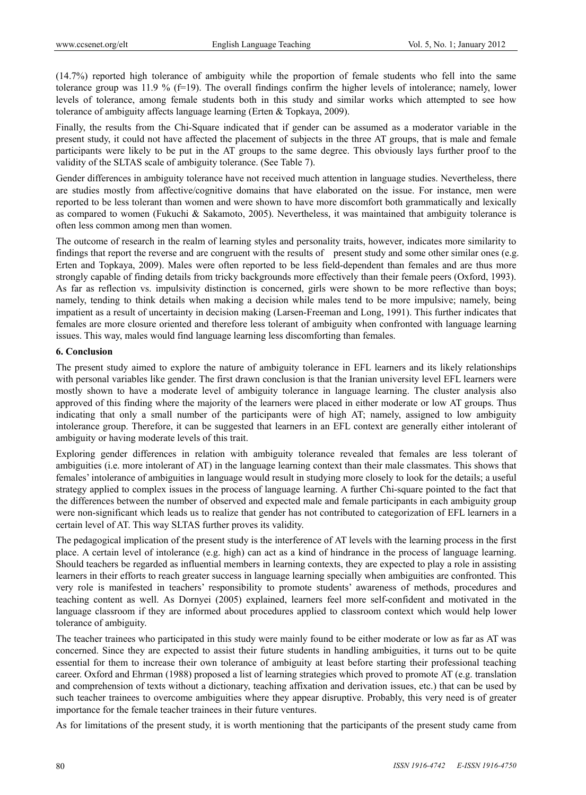(14.7%) reported high tolerance of ambiguity while the proportion of female students who fell into the same tolerance group was 11.9 % (f=19). The overall findings confirm the higher levels of intolerance; namely, lower levels of tolerance, among female students both in this study and similar works which attempted to see how tolerance of ambiguity affects language learning (Erten & Topkaya, 2009).

Finally, the results from the Chi-Square indicated that if gender can be assumed as a moderator variable in the present study, it could not have affected the placement of subjects in the three AT groups, that is male and female participants were likely to be put in the AT groups to the same degree. This obviously lays further proof to the validity of the SLTAS scale of ambiguity tolerance. (See Table 7).

Gender differences in ambiguity tolerance have not received much attention in language studies. Nevertheless, there are studies mostly from affective/cognitive domains that have elaborated on the issue. For instance, men were reported to be less tolerant than women and were shown to have more discomfort both grammatically and lexically as compared to women (Fukuchi & Sakamoto, 2005). Nevertheless, it was maintained that ambiguity tolerance is often less common among men than women.

The outcome of research in the realm of learning styles and personality traits, however, indicates more similarity to findings that report the reverse and are congruent with the results of present study and some other similar ones (e.g. Erten and Topkaya, 2009). Males were often reported to be less field-dependent than females and are thus more strongly capable of finding details from tricky backgrounds more effectively than their female peers (Oxford, 1993). As far as reflection vs. impulsivity distinction is concerned, girls were shown to be more reflective than boys; namely, tending to think details when making a decision while males tend to be more impulsive; namely, being impatient as a result of uncertainty in decision making (Larsen-Freeman and Long, 1991). This further indicates that females are more closure oriented and therefore less tolerant of ambiguity when confronted with language learning issues. This way, males would find language learning less discomforting than females.

#### **6. Conclusion**

The present study aimed to explore the nature of ambiguity tolerance in EFL learners and its likely relationships with personal variables like gender. The first drawn conclusion is that the Iranian university level EFL learners were mostly shown to have a moderate level of ambiguity tolerance in language learning. The cluster analysis also approved of this finding where the majority of the learners were placed in either moderate or low AT groups. Thus indicating that only a small number of the participants were of high AT; namely, assigned to low ambiguity intolerance group. Therefore, it can be suggested that learners in an EFL context are generally either intolerant of ambiguity or having moderate levels of this trait.

Exploring gender differences in relation with ambiguity tolerance revealed that females are less tolerant of ambiguities (i.e. more intolerant of AT) in the language learning context than their male classmates. This shows that females' intolerance of ambiguities in language would result in studying more closely to look for the details; a useful strategy applied to complex issues in the process of language learning. A further Chi-square pointed to the fact that the differences between the number of observed and expected male and female participants in each ambiguity group were non-significant which leads us to realize that gender has not contributed to categorization of EFL learners in a certain level of AT. This way SLTAS further proves its validity.

The pedagogical implication of the present study is the interference of AT levels with the learning process in the first place. A certain level of intolerance (e.g. high) can act as a kind of hindrance in the process of language learning. Should teachers be regarded as influential members in learning contexts, they are expected to play a role in assisting learners in their efforts to reach greater success in language learning specially when ambiguities are confronted. This very role is manifested in teachers' responsibility to promote students' awareness of methods, procedures and teaching content as well. As Dornyei (2005) explained, learners feel more self-confident and motivated in the language classroom if they are informed about procedures applied to classroom context which would help lower tolerance of ambiguity.

The teacher trainees who participated in this study were mainly found to be either moderate or low as far as AT was concerned. Since they are expected to assist their future students in handling ambiguities, it turns out to be quite essential for them to increase their own tolerance of ambiguity at least before starting their professional teaching career. Oxford and Ehrman (1988) proposed a list of learning strategies which proved to promote AT (e.g. translation and comprehension of texts without a dictionary, teaching affixation and derivation issues, etc.) that can be used by such teacher trainees to overcome ambiguities where they appear disruptive. Probably, this very need is of greater importance for the female teacher trainees in their future ventures.

As for limitations of the present study, it is worth mentioning that the participants of the present study came from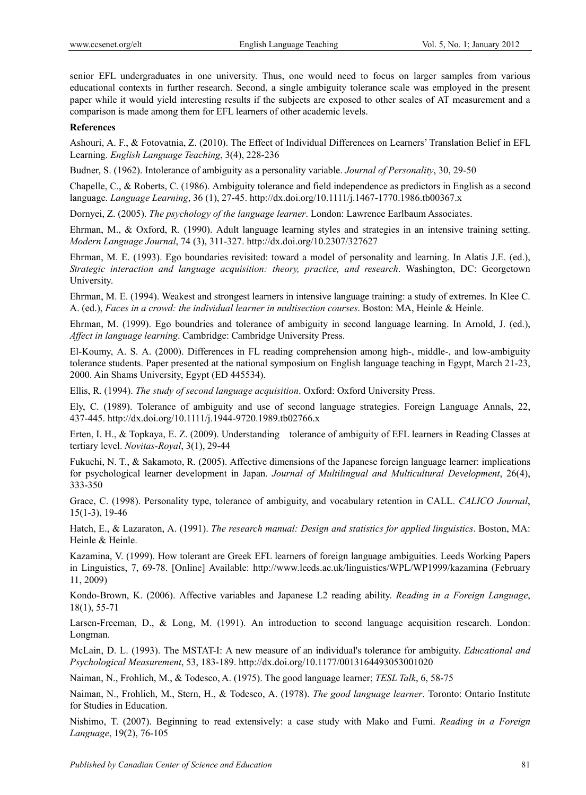senior EFL undergraduates in one university. Thus, one would need to focus on larger samples from various educational contexts in further research. Second, a single ambiguity tolerance scale was employed in the present paper while it would yield interesting results if the subjects are exposed to other scales of AT measurement and a comparison is made among them for EFL learners of other academic levels.

#### **References**

Ashouri, A. F., & Fotovatnia, Z. (2010). The Effect of Individual Differences on Learners' Translation Belief in EFL Learning. *English Language Teaching*, 3(4), 228-236

Budner, S. (1962). Intolerance of ambiguity as a personality variable. *Journal of Personality*, 30, 29-50

Chapelle, C., & Roberts, C. (1986). Ambiguity tolerance and field independence as predictors in English as a second language. *Language Learning*, 36 (1), 27-45. http://dx.doi.org/10.1111/j.1467-1770.1986.tb00367.x

Dornyei, Z. (2005). *The psychology of the language learner*. London: Lawrence Earlbaum Associates.

Ehrman, M., & Oxford, R. (1990). Adult language learning styles and strategies in an intensive training setting. *Modern Language Journal*, 74 (3), 311-327. http://dx.doi.org/10.2307/327627

Ehrman, M. E. (1993). Ego boundaries revisited: toward a model of personality and learning. In Alatis J.E. (ed.), *Strategic interaction and language acquisition: theory, practice, and research*. Washington, DC: Georgetown University.

Ehrman, M. E. (1994). Weakest and strongest learners in intensive language training: a study of extremes. In Klee C. A. (ed.), *Faces in a crowd: the individual learner in multisection courses*. Boston: MA, Heinle & Heinle.

Ehrman, M. (1999). Ego boundries and tolerance of ambiguity in second language learning. In Arnold, J. (ed.), *Affect in language learning*. Cambridge: Cambridge University Press.

El-Koumy, A. S. A. (2000). Differences in FL reading comprehension among high-, middle-, and low-ambiguity tolerance students. Paper presented at the national symposium on English language teaching in Egypt, March 21-23, 2000. Ain Shams University, Egypt (ED 445534).

Ellis, R. (1994). *The study of second language acquisition*. Oxford: Oxford University Press.

Ely, C. (1989). Tolerance of ambiguity and use of second language strategies. Foreign Language Annals, 22, 437-445. http://dx.doi.org/10.1111/j.1944-9720.1989.tb02766.x

Erten, I. H., & Topkaya, E. Z. (2009). Understanding tolerance of ambiguity of EFL learners in Reading Classes at tertiary level. *Novitas-Royal*, 3(1), 29-44

Fukuchi, N. T., & Sakamoto, R. (2005). Affective dimensions of the Japanese foreign language learner: implications for psychological learner development in Japan. *Journal of Multilingual and Multicultural Development*, 26(4), 333-350

Grace, C. (1998). Personality type, tolerance of ambiguity, and vocabulary retention in CALL. *CALICO Journal*, 15(1-3), 19-46

Hatch, E., & Lazaraton, A. (1991). *The research manual: Design and statistics for applied linguistics*. Boston, MA: Heinle & Heinle.

Kazamina, V. (1999). How tolerant are Greek EFL learners of foreign language ambiguities. Leeds Working Papers in Linguistics, 7, 69-78. [Online] Available: http://www.leeds.ac.uk/linguistics/WPL/WP1999/kazamina (February 11, 2009)

Kondo-Brown, K. (2006). Affective variables and Japanese L2 reading ability. *Reading in a Foreign Language*, 18(1), 55-71

Larsen-Freeman, D., & Long, M. (1991). An introduction to second language acquisition research. London: Longman.

McLain, D. L. (1993). The MSTAT-I: A new measure of an individual's tolerance for ambiguity. *Educational and Psychological Measurement*, 53, 183-189. http://dx.doi.org/10.1177/0013164493053001020

Naiman, N., Frohlich, M., & Todesco, A. (1975). The good language learner; *TESL Talk*, 6, 58-75

Naiman, N., Frohlich, M., Stern, H., & Todesco, A. (1978). *The good language learner*. Toronto: Ontario Institute for Studies in Education.

Nishimo, T. (2007). Beginning to read extensively: a case study with Mako and Fumi. *Reading in a Foreign Language*, 19(2), 76-105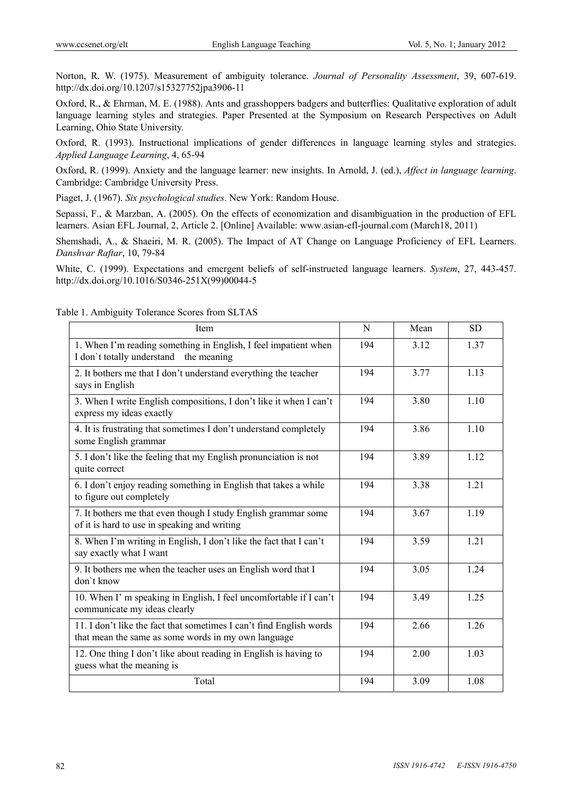Norton, R. W. (1975). Measurement of ambiguity tolerance. *Journal of Personality Assessment*, 39, 607-619. http://dx.doi.org/10.1207/s15327752jpa3906-11

Oxford, R., & Ehrman, M. E. (1988). Ants and grasshoppers badgers and butterflies: Qualitative exploration of adult language learning styles and strategies. Paper Presented at the Symposium on Research Perspectives on Adult Learning, Ohio State University.

Oxford, R. (1993). Instructional implications of gender differences in language learning styles and strategies. *Applied Language Learning*, 4, 65-94

Oxford, R. (1999). Anxiety and the language learner: new insights. In Arnold, J. (ed.), *Affect in language learning*. Cambridge: Cambridge University Press.

Piaget, J. (1967). *Six psychological studies*. New York: Random House.

Sepassi, F., & Marzban, A. (2005). On the effects of economization and disambiguation in the production of EFL learners. Asian EFL Journal, 2, Article 2. [Online] Available: www.asian-efl-journal.com (March18, 2011)

Shemshadi, A., & Shaeiri, M. R. (2005). The Impact of AT Change on Language Proficiency of EFL Learners. *Danshvar Raftar*, 10, 79-84

White, C. (1999). Expectations and emergent beliefs of self-instructed language learners. *System*, 27, 443-457. http://dx.doi.org/10.1016/S0346-251X(99)00044-5

| Item                                                                                                                       | N   | Mean | <b>SD</b> |
|----------------------------------------------------------------------------------------------------------------------------|-----|------|-----------|
| 1. When I'm reading something in English, I feel impatient when<br>I don't totally understand the meaning                  | 194 | 3.12 | 1.37      |
| 2. It bothers me that I don't understand everything the teacher<br>says in English                                         | 194 | 3.77 | 1.13      |
| 3. When I write English compositions, I don't like it when I can't<br>express my ideas exactly                             | 194 | 3.80 | 1.10      |
| 4. It is frustrating that sometimes I don't understand completely<br>some English grammar                                  | 194 | 3.86 | 1.10      |
| 5. I don't like the feeling that my English pronunciation is not<br>quite correct                                          | 194 | 3.89 | 1.12      |
| 6. I don't enjoy reading something in English that takes a while<br>to figure out completely                               | 194 | 3.38 | 1.21      |
| 7. It bothers me that even though I study English grammar some<br>of it is hard to use in speaking and writing             | 194 | 3.67 | 1.19      |
| 8. When I'm writing in English, I don't like the fact that I can't<br>say exactly what I want                              | 194 | 3.59 | 1.21      |
| 9. It bothers me when the teacher uses an English word that I<br>don't know                                                | 194 | 3.05 | 1.24      |
| 10. When I' m speaking in English, I feel uncomfortable if I can't<br>communicate my ideas clearly                         | 194 | 3.49 | 1.25      |
| 11. I don't like the fact that sometimes I can't find English words<br>that mean the same as some words in my own language | 194 | 2.66 | 1.26      |
| 12. One thing I don't like about reading in English is having to<br>guess what the meaning is                              | 194 | 2.00 | 1.03      |
| Total                                                                                                                      | 194 | 3.09 | 1.08      |

Table 1. Ambiguity Tolerance Scores from SLTAS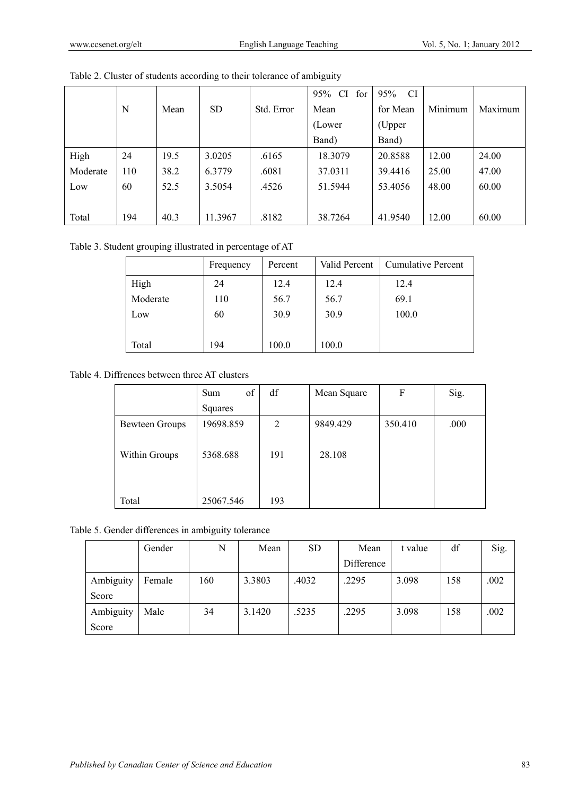|          |     |      |           |            | CI.<br>for<br>95% | <b>CI</b><br>95% |         |         |
|----------|-----|------|-----------|------------|-------------------|------------------|---------|---------|
|          | N   | Mean | <b>SD</b> | Std. Error | Mean              | for Mean         | Minimum | Maximum |
|          |     |      |           |            | (Lower)           | (Upper           |         |         |
|          |     |      |           |            | Band)             | Band)            |         |         |
| High     | 24  | 19.5 | 3.0205    | .6165      | 18.3079           | 20.8588          | 12.00   | 24.00   |
| Moderate | 110 | 38.2 | 6.3779    | .6081      | 37.0311           | 39.4416          | 25.00   | 47.00   |
| Low      | 60  | 52.5 | 3.5054    | .4526      | 51.5944           | 53.4056          | 48.00   | 60.00   |
|          |     |      |           |            |                   |                  |         |         |
| Total    | 194 | 40.3 | 11.3967   | .8182      | 38.7264           | 41.9540          | 12.00   | 60.00   |

Table 2. Cluster of students according to their tolerance of ambiguity

Table 3. Student grouping illustrated in percentage of AT

|          | Frequency | Percent | Valid Percent | <b>Cumulative Percent</b> |
|----------|-----------|---------|---------------|---------------------------|
| High     | 24        | 12.4    | 12.4          | 12.4                      |
| Moderate | 110       | 56.7    | 56.7          | 69.1                      |
| Low      | 60        | 30.9    | 30.9          | 100.0                     |
|          |           |         |               |                           |
| Total    | 194       | 100.0   | 100.0         |                           |

Table 4. Diffrences between three AT clusters

|                | of<br>Sum | df  | Mean Square | F       | Sig. |
|----------------|-----------|-----|-------------|---------|------|
|                | Squares   |     |             |         |      |
| Bewteen Groups | 19698.859 | 2   | 9849.429    | 350.410 | .000 |
|                |           |     |             |         |      |
| Within Groups  | 5368.688  | 191 | 28.108      |         |      |
|                |           |     |             |         |      |
|                |           |     |             |         |      |
| Total          | 25067.546 | 193 |             |         |      |

Table 5. Gender differences in ambiguity tolerance

|           | Gender | N   | Mean   | <b>SD</b> | Mean       | t value | df  | Sig. |
|-----------|--------|-----|--------|-----------|------------|---------|-----|------|
|           |        |     |        |           | Difference |         |     |      |
| Ambiguity | Female | 160 | 3.3803 | .4032     | .2295      | 3.098   | 158 | .002 |
| Score     |        |     |        |           |            |         |     |      |
| Ambiguity | Male   | 34  | 3.1420 | .5235     | .2295      | 3.098   | 158 | .002 |
| Score     |        |     |        |           |            |         |     |      |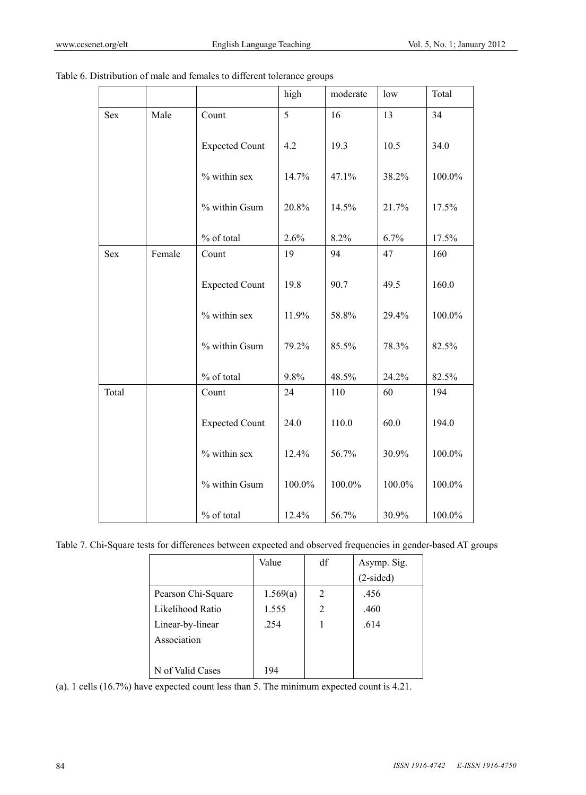|            |        |                       | high   | moderate | low    | Total  |
|------------|--------|-----------------------|--------|----------|--------|--------|
| Sex        | Male   | Count                 | 5      | 16       | 13     | 34     |
|            |        | <b>Expected Count</b> | 4.2    | 19.3     | 10.5   | 34.0   |
|            |        | % within sex          | 14.7%  | 47.1%    | 38.2%  | 100.0% |
|            |        | % within Gsum         | 20.8%  | 14.5%    | 21.7%  | 17.5%  |
|            |        | % of total            | 2.6%   | 8.2%     | 6.7%   | 17.5%  |
| <b>Sex</b> | Female | Count                 | 19     | 94       | 47     | 160    |
|            |        | <b>Expected Count</b> | 19.8   | 90.7     | 49.5   | 160.0  |
|            |        | % within sex          | 11.9%  | 58.8%    | 29.4%  | 100.0% |
|            |        | % within Gsum         | 79.2%  | 85.5%    | 78.3%  | 82.5%  |
|            |        | % of total            | 9.8%   | 48.5%    | 24.2%  | 82.5%  |
| Total      |        | Count                 | 24     | 110      | 60     | 194    |
|            |        | <b>Expected Count</b> | 24.0   | 110.0    | 60.0   | 194.0  |
|            |        | % within sex          | 12.4%  | 56.7%    | 30.9%  | 100.0% |
|            |        | % within Gsum         | 100.0% | 100.0%   | 100.0% | 100.0% |
|            |        | % of total            | 12.4%  | 56.7%    | 30.9%  | 100.0% |

Table 7. Chi-Square tests for differences between expected and observed frequencies in gender-based AT groups

|                    | Value    | df | Asymp. Sig. |
|--------------------|----------|----|-------------|
|                    |          |    | $(2-sided)$ |
| Pearson Chi-Square | 1.569(a) | 2  | .456        |
| Likelihood Ratio   | 1.555    | 2  | .460        |
| Linear-by-linear   | .254     |    | .614        |
| Association        |          |    |             |
|                    |          |    |             |
| N of Valid Cases   | 194      |    |             |

(a). 1 cells (16.7%) have expected count less than 5. The minimum expected count is 4.21.